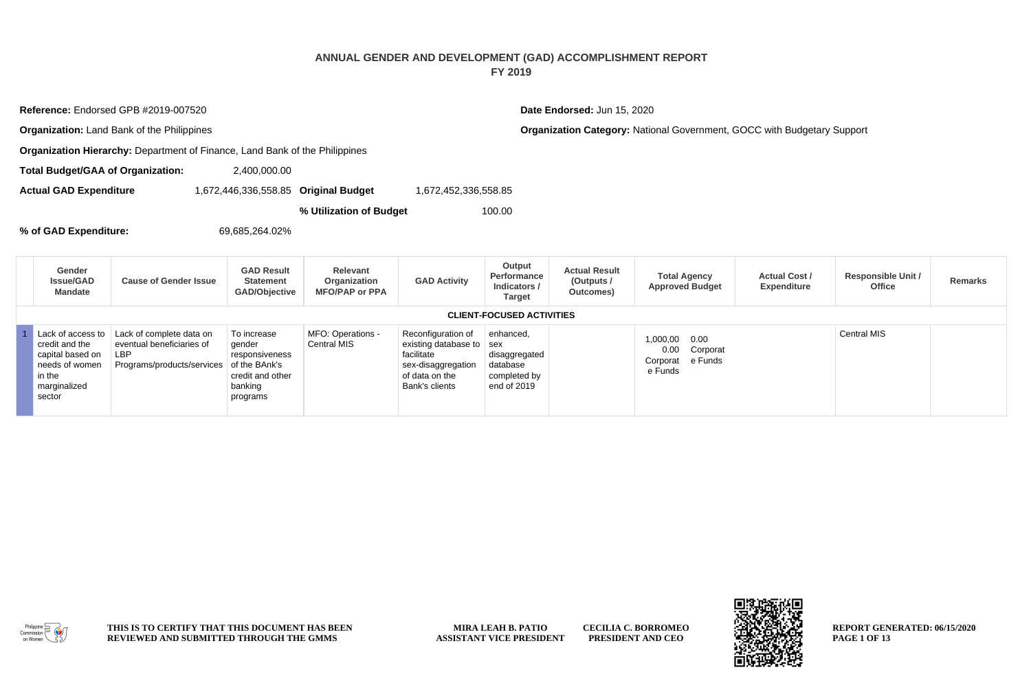## **ANNUAL GENDER AND DEVELOPMENT (GAD) ACCOMPLISHMENT REPORT FY 2019**

**Organization:** Land Bank of the Philippines **Companization Category:** National Government, GOCC with Budgetary Support **Organization Hierarchy:** Department of Finance, Land Bank of the Philippines **Total Budget/GAA of Organization:** 2,400,000.00 **Actual GAD Expenditure** 1,672,446,336,558.85 **Original Budget** 1,672,452,336,558.85 **% Utilization of Budget** 100.00 **% of GAD Expenditure:** 69,685,264.02% **Gender Issue/GAD Mandate Cause of Gender Issue GAD Result Statement GAD/Objective Relevant Organization MFO/PAP or PPA GAD Activity Output Performance Indicators / Target Actual Result (Outputs / Outcomes) Total Agency Approved Budget Actual Cost / Expenditure Responsible Unit / Office Remarks CLIENT-FOCUSED ACTIVITIES** 1 Lack of access to credit and the capital based on needs of women in the marginalized Lack of complete data on eventual beneficiaries of LBP Programs/products/services To increase gender responsiveness of the BAnk's credit and other banking MFO: Operations - Central MIS Reconfiguration of existing database to facilitate sex-disaggregation of data on the Bank's clients enhanced, sex disaggregated database completed by end of 2019 1,000,00 0.00 Corporat e Funds 0.00 Corporat e Funds Central MIS

**Reference:** Endorsed GPB #2019-007520 **Date Endorsed:** Jun 15, 2020

## Philippine Commission

sector

**THIS IS TO CERTIFY THAT THIS DOCUMENT HAS BEEN REVIEWED AND SUBMITTED THROUGH THE GMMS**

programs

**MIRA LEAH B. PATIO ASSISTANT VICE PRESIDENT CECILIA C. BORROMEO PRESIDENT AND CEO**

**REPORT GENERATED: 06/15/2020 PAGE 1 OF 13**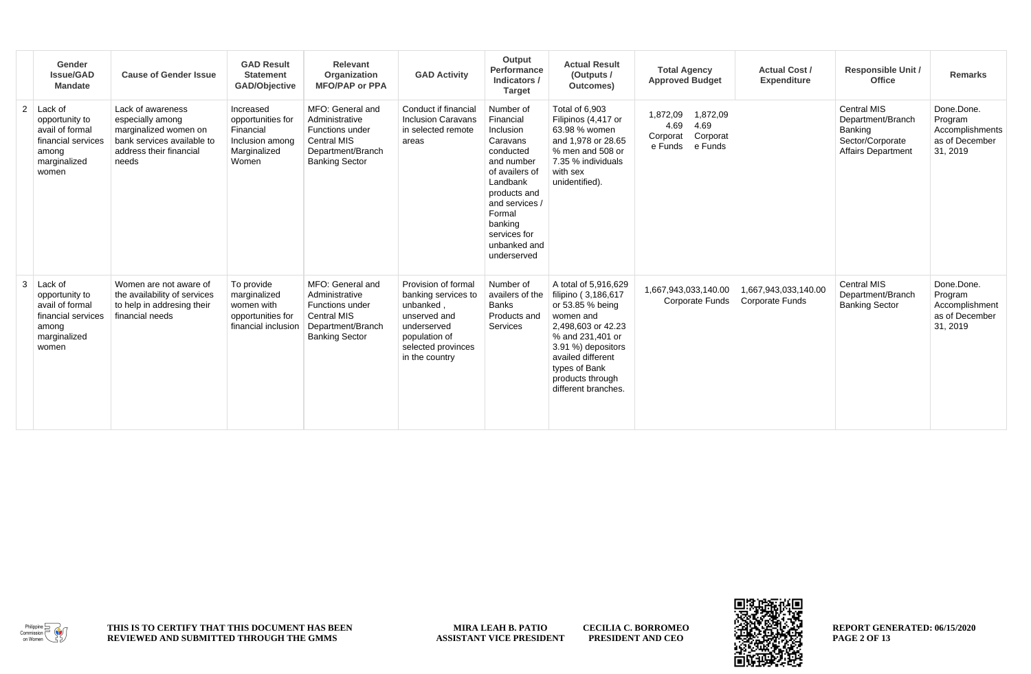|                | Gender<br><b>Issue/GAD</b><br><b>Mandate</b>                                                         | <b>Cause of Gender Issue</b>                                                                                                     | <b>GAD Result</b><br><b>Statement</b><br><b>GAD/Objective</b>                           | Relevant<br>Organization<br><b>MFO/PAP or PPA</b>                                                                         | <b>GAD Activity</b>                                                                                                                             | Output<br>Performance<br>Indicators /<br><b>Target</b>                                                                                                                                                         | <b>Actual Result</b><br>(Outputs /<br>Outcomes)                                                                                                                                                                               | <b>Total Agency</b><br><b>Approved Budget</b>                                      | <b>Actual Cost /</b><br>Expenditure            | <b>Responsible Unit /</b><br>Office                                                                 | Remarks                                                                |
|----------------|------------------------------------------------------------------------------------------------------|----------------------------------------------------------------------------------------------------------------------------------|-----------------------------------------------------------------------------------------|---------------------------------------------------------------------------------------------------------------------------|-------------------------------------------------------------------------------------------------------------------------------------------------|----------------------------------------------------------------------------------------------------------------------------------------------------------------------------------------------------------------|-------------------------------------------------------------------------------------------------------------------------------------------------------------------------------------------------------------------------------|------------------------------------------------------------------------------------|------------------------------------------------|-----------------------------------------------------------------------------------------------------|------------------------------------------------------------------------|
| $\overline{2}$ | Lack of<br>opportunity to<br>avail of formal<br>financial services<br>among<br>marginalized<br>women | Lack of awareness<br>especially among<br>marginalized women on<br>bank services available to<br>address their financial<br>needs | Increased<br>opportunities for<br>Financial<br>Inclusion among<br>Marginalized<br>Women | MFO: General and<br>Administrative<br>Functions under<br><b>Central MIS</b><br>Department/Branch<br><b>Banking Sector</b> | Conduct if financial<br><b>Inclusion Caravans</b><br>in selected remote<br>areas                                                                | Number of<br>Financial<br>Inclusion<br>Caravans<br>conducted<br>and number<br>of availers of<br>Landbank<br>products and<br>and services /<br>Formal<br>banking<br>services for<br>unbanked and<br>underserved | Total of 6.903<br>Filipinos (4,417 or<br>63.98 % women<br>and 1,978 or 28.65<br>% men and 508 or<br>7.35 % individuals<br>with sex<br>unidentified).                                                                          | 1,872,09<br>1,872,09<br>4.69<br>4.69<br>Corporat<br>Corporat<br>e Funds<br>e Funds |                                                | <b>Central MIS</b><br>Department/Branch<br>Banking<br>Sector/Corporate<br><b>Affairs Department</b> | Done.Done.<br>Program<br>Accomplishments<br>as of December<br>31, 2019 |
| 3              | Lack of<br>opportunity to<br>avail of formal<br>financial services<br>among<br>marginalized<br>women | Women are not aware of<br>the availability of services<br>to help in addresing their<br>financial needs                          | To provide<br>marginalized<br>women with<br>opportunities for<br>financial inclusion    | MFO: General and<br>Administrative<br>Functions under<br><b>Central MIS</b><br>Department/Branch<br><b>Banking Sector</b> | Provision of formal<br>banking services to<br>unbanked,<br>unserved and<br>underserved<br>population of<br>selected provinces<br>in the country | Number of<br>availers of the<br><b>Banks</b><br>Products and<br>Services                                                                                                                                       | A total of 5,916,629<br>filipino (3,186,617<br>or 53.85 % being<br>women and<br>2.498.603 or 42.23<br>% and 231,401 or<br>3.91 %) depositors<br>availed different<br>types of Bank<br>products through<br>different branches. | 1,667,943,033,140.00<br><b>Corporate Funds</b>                                     | 1,667,943,033,140.00<br><b>Corporate Funds</b> | <b>Central MIS</b><br>Department/Branch<br><b>Banking Sector</b>                                    | Done.Done.<br>Program<br>Accomplishment<br>as of December<br>31, 2019  |



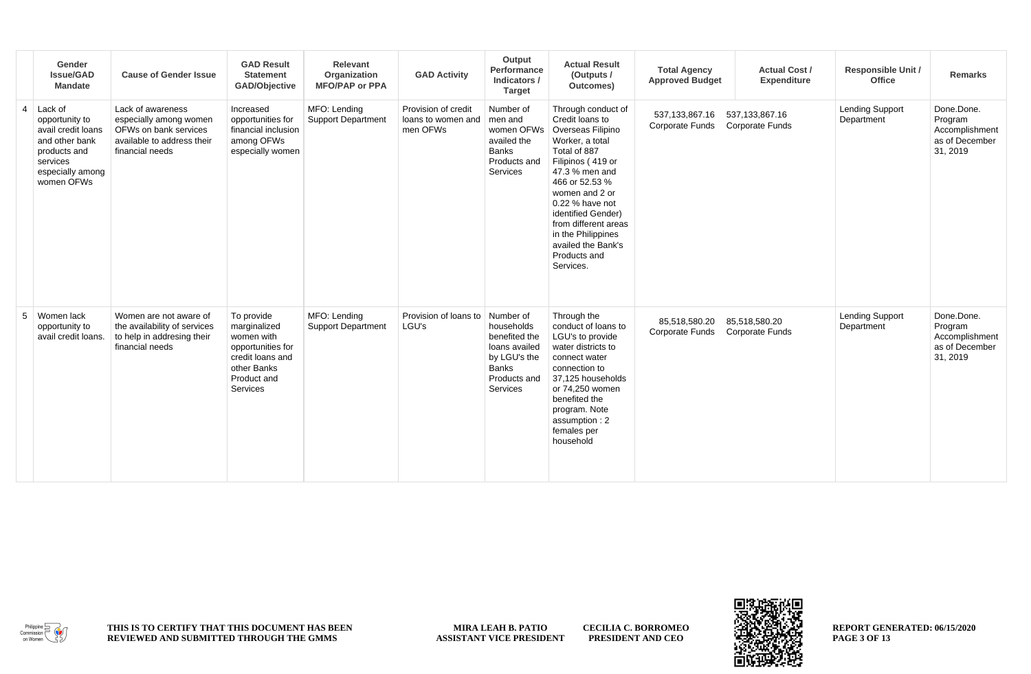|   | Gender<br><b>Issue/GAD</b><br><b>Mandate</b>                                                                                    | <b>Cause of Gender Issue</b>                                                                                          | <b>GAD Result</b><br><b>Statement</b><br><b>GAD/Objective</b>                                                               | <b>Relevant</b><br>Organization<br><b>MFO/PAP or PPA</b> | <b>GAD Activity</b>                                   | Output<br>Performance<br>Indicators /<br><b>Target</b>                                                                | <b>Actual Result</b><br>(Outputs /<br>Outcomes)                                                                                                                                                                                                                                                                    | <b>Total Agency</b><br><b>Approved Budget</b> | <b>Actual Cost /</b><br><b>Expenditure</b>  | <b>Responsible Unit /</b><br>Office  | <b>Remarks</b>                                                        |
|---|---------------------------------------------------------------------------------------------------------------------------------|-----------------------------------------------------------------------------------------------------------------------|-----------------------------------------------------------------------------------------------------------------------------|----------------------------------------------------------|-------------------------------------------------------|-----------------------------------------------------------------------------------------------------------------------|--------------------------------------------------------------------------------------------------------------------------------------------------------------------------------------------------------------------------------------------------------------------------------------------------------------------|-----------------------------------------------|---------------------------------------------|--------------------------------------|-----------------------------------------------------------------------|
| 4 | Lack of<br>opportunity to<br>avail credit loans<br>and other bank<br>products and<br>services<br>especially among<br>women OFWs | Lack of awareness<br>especially among women<br>OFWs on bank services<br>available to address their<br>financial needs | Increased<br>opportunities for<br>financial inclusion<br>among OFWs<br>especially women                                     | MFO: Lending<br><b>Support Department</b>                | Provision of credit<br>loans to women and<br>men OFWs | Number of<br>men and<br>women OFWs<br>availed the<br>Banks<br>Products and<br>Services                                | Through conduct of<br>Credit loans to<br>Overseas Filipino<br>Worker, a total<br>Total of 887<br>Filipinos (419 or<br>47.3 % men and<br>466 or 52.53 %<br>women and 2 or<br>0.22 % have not<br>identified Gender)<br>from different areas<br>in the Philippines<br>availed the Bank's<br>Products and<br>Services. | 537.133.867.16<br>Corporate Funds             | 537, 133, 867. 16<br><b>Corporate Funds</b> | <b>Lending Support</b><br>Department | Done.Done.<br>Program<br>Accomplishment<br>as of December<br>31, 2019 |
| 5 | Women lack<br>opportunity to<br>avail credit loans.                                                                             | Women are not aware of<br>the availability of services<br>to help in addresing their<br>financial needs               | To provide<br>marginalized<br>women with<br>opportunities for<br>credit loans and<br>other Banks<br>Product and<br>Services | MFO: Lending<br><b>Support Department</b>                | Provision of loans to<br>LGU's                        | Number of<br>households<br>benefited the<br>loans availed<br>by LGU's the<br><b>Banks</b><br>Products and<br>Services | Through the<br>conduct of loans to<br>LGU's to provide<br>water districts to<br>connect water<br>connection to<br>37,125 households<br>or 74,250 women<br>benefited the<br>program. Note<br>assumption: 2<br>females per<br>household                                                                              | 85.518.580.20<br>Corporate Funds              | 85,518,580.20<br>Corporate Funds            | <b>Lending Support</b><br>Department | Done.Done.<br>Program<br>Accomplishment<br>as of December<br>31, 2019 |



**MIRA LEAH B. PATIO ASSISTANT VICE PRESIDENT CECILIA C. BORROMEO PRESIDENT AND CEO**



**REPORT GENERATED: 06/15/2020 PAGE 3 OF 13**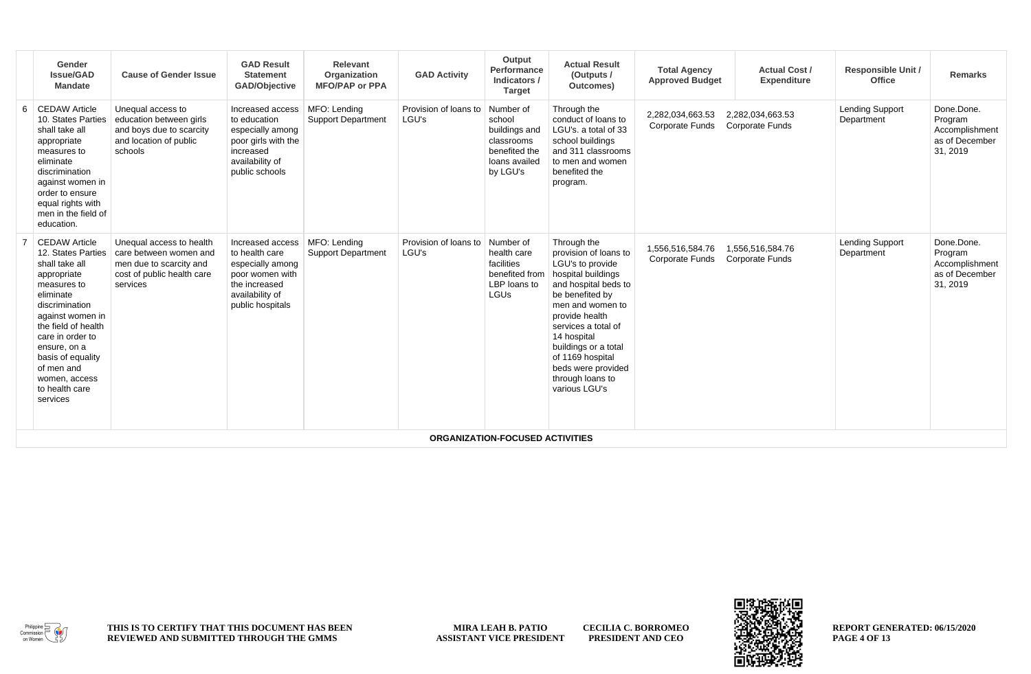| Gender<br><b>Issue/GAD</b><br>Mandate                                                                                                                                                                                                                                                      | <b>Cause of Gender Issue</b>                                                                                            | <b>GAD Result</b><br><b>Statement</b><br>GAD/Objective                                                                            | Relevant<br>Organization<br><b>MFO/PAP or PPA</b> | <b>GAD Activity</b>            | Output<br>Performance<br>Indicators /<br><b>Target</b>                                           | <b>Actual Result</b><br>(Outputs /<br>Outcomes)                                                                                                                                                                                                                                                              | <b>Total Agency</b><br><b>Approved Budget</b> | <b>Actual Cost /</b><br><b>Expenditure</b> | Responsible Unit /<br>Office         | <b>Remarks</b>                                                        |
|--------------------------------------------------------------------------------------------------------------------------------------------------------------------------------------------------------------------------------------------------------------------------------------------|-------------------------------------------------------------------------------------------------------------------------|-----------------------------------------------------------------------------------------------------------------------------------|---------------------------------------------------|--------------------------------|--------------------------------------------------------------------------------------------------|--------------------------------------------------------------------------------------------------------------------------------------------------------------------------------------------------------------------------------------------------------------------------------------------------------------|-----------------------------------------------|--------------------------------------------|--------------------------------------|-----------------------------------------------------------------------|
| 6 CEDAW Article<br>10. States Parties<br>shall take all<br>appropriate<br>measures to<br>eliminate<br>discrimination<br>against women in<br>order to ensure<br>equal rights with<br>men in the field of<br>education.                                                                      | Unequal access to<br>education between girls<br>and boys due to scarcity<br>and location of public<br>schools           | Increased access<br>to education<br>especially among<br>poor girls with the<br>increased<br>availability of<br>public schools     | MFO: Lending<br><b>Support Department</b>         | Provision of loans to<br>LGU's | Number of<br>school<br>buildings and<br>classrooms<br>benefited the<br>loans availed<br>by LGU's | Through the<br>conduct of loans to<br>LGU's, a total of 33<br>school buildings<br>and 311 classrooms<br>to men and women<br>benefited the<br>program.                                                                                                                                                        | 2.282.034.663.53<br>Corporate Funds           | 2.282.034.663.53<br><b>Corporate Funds</b> | <b>Lending Support</b><br>Department | Done.Done.<br>Program<br>Accomplishment<br>as of December<br>31, 2019 |
| <b>CEDAW Article</b><br>12. States Parties<br>shall take all<br>appropriate<br>measures to<br>eliminate<br>discrimination<br>against women in<br>the field of health<br>care in order to<br>ensure, on a<br>basis of equality<br>of men and<br>women, access<br>to health care<br>services | Unequal access to health<br>care between women and<br>men due to scarcity and<br>cost of public health care<br>services | Increased access<br>to health care<br>especially among<br>poor women with<br>the increased<br>availability of<br>public hospitals | MFO: Lending<br><b>Support Department</b>         | Provision of loans to<br>LGU's | Number of<br>health care<br>facilities<br>benefited from<br>LBP loans to<br>LGUs                 | Through the<br>provision of loans to<br>LGU's to provide<br>hospital buildings<br>and hospital beds to<br>be benefited by<br>men and women to<br>provide health<br>services a total of<br>14 hospital<br>buildings or a total<br>of 1169 hospital<br>beds were provided<br>through loans to<br>various LGU's | 1.556.516.584.76<br>Corporate Funds           | 1.556.516.584.76<br><b>Corporate Funds</b> | <b>Lending Support</b><br>Department | Done.Done.<br>Program<br>Accomplishment<br>as of December<br>31, 2019 |
|                                                                                                                                                                                                                                                                                            |                                                                                                                         |                                                                                                                                   |                                                   |                                | <b>ORGANIZATION-FOCUSED ACTIVITIES</b>                                                           |                                                                                                                                                                                                                                                                                                              |                                               |                                            |                                      |                                                                       |



**MIRA LEAH B. PATIO ASSISTANT VICE PRESIDENT CECILIA C. BORROMEO PRESIDENT AND CEO**

F æ.

**REPORT GENERATED: 06/15/2020 PAGE 4 OF 13**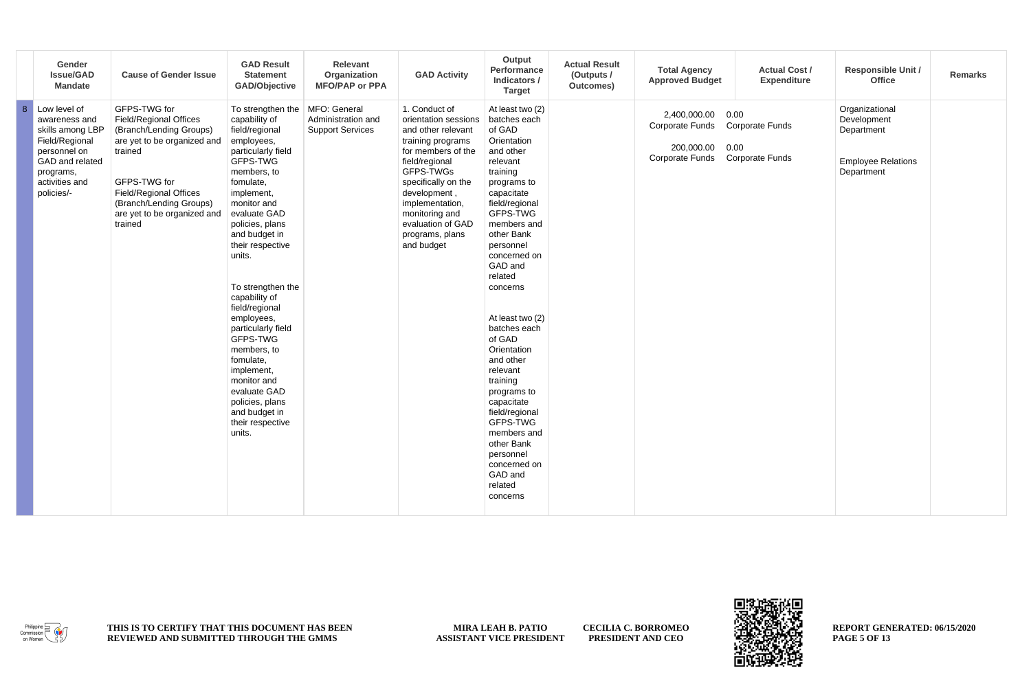|                | Gender<br><b>Issue/GAD</b><br><b>Mandate</b>                                                                                                        | <b>Cause of Gender Issue</b>                                                                                                                                                                                                             | <b>GAD Result</b><br><b>Statement</b><br><b>GAD/Objective</b>                                                                                                                                                                                                                                                                                                                                                                                                                                                     | Relevant<br>Organization<br><b>MFO/PAP or PPA</b> | <b>GAD Activity</b>                                                                                                                                                                                                                                                     | Output<br>Performance<br>Indicators /<br><b>Target</b>                                                                                                                                                                                                                                                                                                                                                                                                                                                         | <b>Actual Result</b><br>(Outputs /<br>Outcomes) | <b>Total Agency</b><br><b>Approved Budget</b>                           | <b>Actual Cost /</b><br><b>Expenditure</b>                       | <b>Responsible Unit /</b><br>Office                                                    | <b>Remarks</b> |
|----------------|-----------------------------------------------------------------------------------------------------------------------------------------------------|------------------------------------------------------------------------------------------------------------------------------------------------------------------------------------------------------------------------------------------|-------------------------------------------------------------------------------------------------------------------------------------------------------------------------------------------------------------------------------------------------------------------------------------------------------------------------------------------------------------------------------------------------------------------------------------------------------------------------------------------------------------------|---------------------------------------------------|-------------------------------------------------------------------------------------------------------------------------------------------------------------------------------------------------------------------------------------------------------------------------|----------------------------------------------------------------------------------------------------------------------------------------------------------------------------------------------------------------------------------------------------------------------------------------------------------------------------------------------------------------------------------------------------------------------------------------------------------------------------------------------------------------|-------------------------------------------------|-------------------------------------------------------------------------|------------------------------------------------------------------|----------------------------------------------------------------------------------------|----------------|
| $\overline{8}$ | Low level of<br>awareness and<br>skills among LBP<br>Field/Regional<br>personnel on<br>GAD and related<br>programs,<br>activities and<br>policies/- | GFPS-TWG for<br><b>Field/Regional Offices</b><br>(Branch/Lending Groups)<br>are yet to be organized and<br>trained<br>GFPS-TWG for<br><b>Field/Regional Offices</b><br>(Branch/Lending Groups)<br>are yet to be organized and<br>trained | To strengthen the   MFO: General<br>capability of<br>field/regional<br>employees,<br>particularly field<br>GFPS-TWG<br>members, to<br>fomulate,<br>implement,<br>monitor and<br>evaluate GAD<br>policies, plans<br>and budget in<br>their respective<br>units.<br>To strengthen the<br>capability of<br>field/regional<br>employees,<br>particularly field<br>GFPS-TWG<br>members, to<br>fomulate,<br>implement,<br>monitor and<br>evaluate GAD<br>policies, plans<br>and budget in<br>their respective<br>units. | Administration and<br><b>Support Services</b>     | 1. Conduct of<br>orientation sessions<br>and other relevant<br>training programs<br>for members of the<br>field/regional<br>GFPS-TWGs<br>specifically on the<br>development,<br>implementation,<br>monitoring and<br>evaluation of GAD<br>programs, plans<br>and budget | At least two (2)<br>batches each<br>of GAD<br>Orientation<br>and other<br>relevant<br>training<br>programs to<br>capacitate<br>field/regional<br>GFPS-TWG<br>members and<br>other Bank<br>personnel<br>concerned on<br>GAD and<br>related<br>concerns<br>At least two (2)<br>batches each<br>of GAD<br>Orientation<br>and other<br>relevant<br>training<br>programs to<br>capacitate<br>field/regional<br>GFPS-TWG<br>members and<br>other Bank<br>personnel<br>concerned on<br>GAD and<br>related<br>concerns |                                                 | 2,400,000.00<br>Corporate Funds<br>200,000.00<br><b>Corporate Funds</b> | 0.00<br><b>Corporate Funds</b><br>0.00<br><b>Corporate Funds</b> | Organizational<br>Development<br>Department<br><b>Employee Relations</b><br>Department |                |



**MIRA LEAH B. PATIO ASSISTANT VICE PRESIDENT CECILIA C. BORROMEO PRESIDENT AND CEO**

æ F

**REPORT GENERATED: 06/15/2020 PAGE 5 OF 13**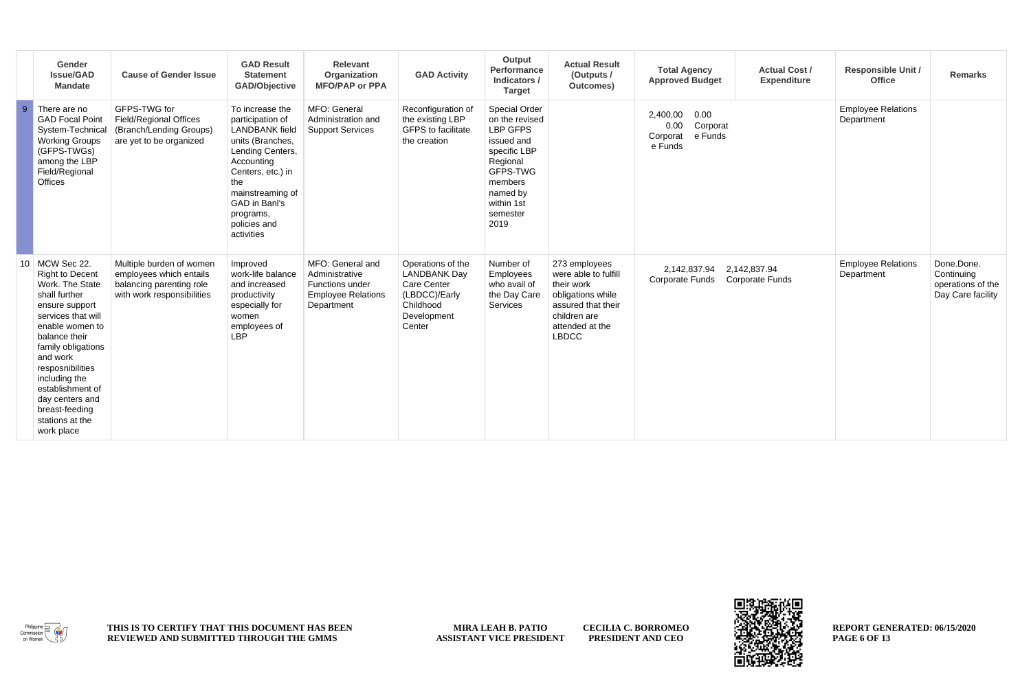|                | Gender<br><b>Issue/GAD</b><br><b>Mandate</b>                                                                                                                                                                                                                                                                           | <b>Cause of Gender Issue</b>                                                                                  | <b>GAD Result</b><br><b>Statement</b><br><b>GAD/Objective</b>                                                                                                                                                                  | <b>Relevant</b><br>Organization<br><b>MFO/PAP or PPA</b>                                         | <b>GAD Activity</b>                                                                                            | Output<br>Performance<br>Indicators /<br><b>Target</b>                                                                                                            | <b>Actual Result</b><br>(Outputs /<br>Outcomes)                                                                                                   | <b>Total Agency</b><br><b>Approved Budget</b>                          | <b>Actual Cost /</b><br><b>Expenditure</b> | <b>Responsible Unit /</b><br>Office     | <b>Remarks</b>                                                     |
|----------------|------------------------------------------------------------------------------------------------------------------------------------------------------------------------------------------------------------------------------------------------------------------------------------------------------------------------|---------------------------------------------------------------------------------------------------------------|--------------------------------------------------------------------------------------------------------------------------------------------------------------------------------------------------------------------------------|--------------------------------------------------------------------------------------------------|----------------------------------------------------------------------------------------------------------------|-------------------------------------------------------------------------------------------------------------------------------------------------------------------|---------------------------------------------------------------------------------------------------------------------------------------------------|------------------------------------------------------------------------|--------------------------------------------|-----------------------------------------|--------------------------------------------------------------------|
| $\overline{9}$ | There are no<br><b>GAD Focal Point</b><br>System-Technical<br><b>Working Groups</b><br>(GFPS-TWGs)<br>among the LBP<br>Field/Regional<br>Offices                                                                                                                                                                       | GFPS-TWG for<br>Field/Regional Offices<br>(Branch/Lending Groups)<br>are yet to be organized                  | To increase the<br>participation of<br><b>LANDBANK</b> field<br>units (Branches,<br>Lending Centers,<br>Accounting<br>Centers, etc.) in<br>the<br>mainstreaming of<br>GAD in Banl's<br>programs,<br>policies and<br>activities | MFO: General<br>Administration and<br><b>Support Services</b>                                    | Reconfiguration of<br>the existing LBP<br><b>GFPS</b> to facilitate<br>the creation                            | Special Order<br>on the revised<br><b>LBP GFPS</b><br>issued and<br>specific LBP<br>Regional<br>GFPS-TWG<br>members<br>named by<br>within 1st<br>semester<br>2019 |                                                                                                                                                   | 0.00<br>2.400.00<br>0.00<br>Corporat<br>e Funds<br>Corporat<br>e Funds |                                            | <b>Employee Relations</b><br>Department |                                                                    |
| 10             | MCW Sec 22.<br><b>Right to Decent</b><br>Work. The State<br>shall further<br>ensure support<br>services that will<br>enable women to<br>balance their<br>family obligations<br>and work<br>resposnibilities<br>including the<br>establishment of<br>day centers and<br>breast-feeding<br>stations at the<br>work place | Multiple burden of women<br>employees which entails<br>balancing parenting role<br>with work responsibilities | Improved<br>work-life balance<br>and increased<br>productivity<br>especially for<br>women<br>employees of<br><b>LBP</b>                                                                                                        | MFO: General and<br>Administrative<br>Functions under<br><b>Employee Relations</b><br>Department | Operations of the<br><b>LANDBANK Dav</b><br>Care Center<br>(LBDCC)/Early<br>Childhood<br>Development<br>Center | Number of<br>Employees<br>who avail of<br>the Day Care<br>Services                                                                                                | 273 employees<br>were able to fulfill<br>their work<br>obligations while<br>assured that their<br>children are<br>attended at the<br><b>LBDCC</b> | 2.142.837.94<br>Corporate Funds                                        | 2,142,837.94<br><b>Corporate Funds</b>     | <b>Employee Relations</b><br>Department | Done.Done.<br>Continuing<br>operations of the<br>Day Care facility |



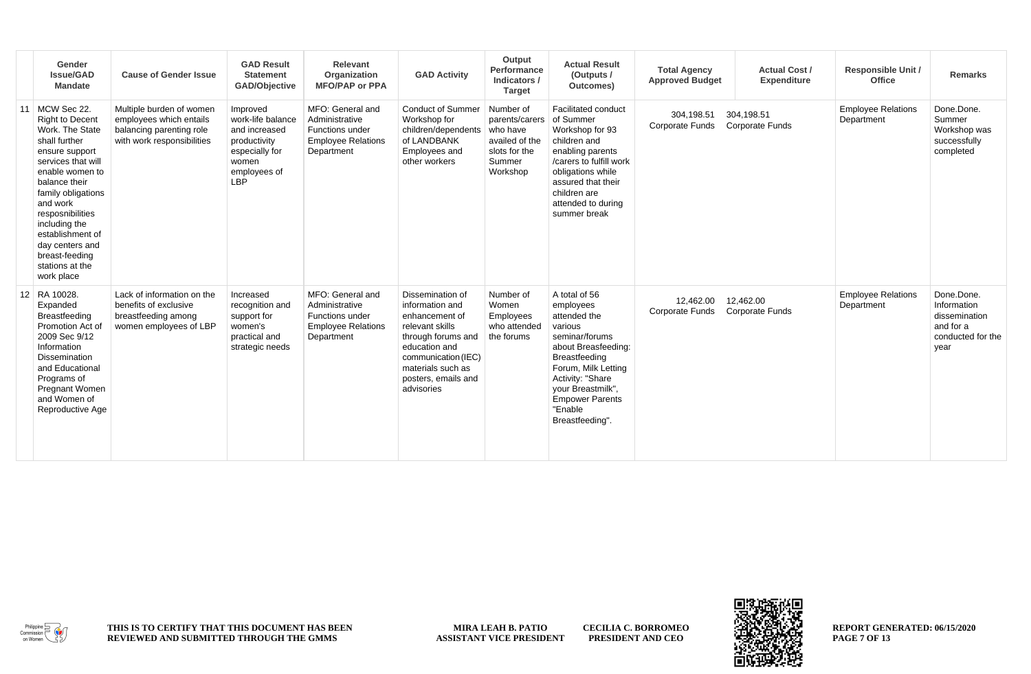|                 | Gender<br>Issue/GAD<br><b>Mandate</b>                                                                                                                                                                                                                                                                                  | <b>Cause of Gender Issue</b>                                                                                  | <b>GAD Result</b><br><b>Statement</b><br>GAD/Objective                                                                  | Relevant<br>Organization<br><b>MFO/PAP or PPA</b>                                                | <b>GAD Activity</b>                                                                                                                                                                              | Output<br>Performance<br>Indicators /<br><b>Target</b>                                           | <b>Actual Result</b><br>(Outputs /<br>Outcomes)                                                                                                                                                                                         | <b>Total Agency</b><br><b>Approved Budget</b> | <b>Actual Cost /</b><br><b>Expenditure</b> | <b>Responsible Unit /</b><br><b>Office</b> | <b>Remarks</b>                                                                       |
|-----------------|------------------------------------------------------------------------------------------------------------------------------------------------------------------------------------------------------------------------------------------------------------------------------------------------------------------------|---------------------------------------------------------------------------------------------------------------|-------------------------------------------------------------------------------------------------------------------------|--------------------------------------------------------------------------------------------------|--------------------------------------------------------------------------------------------------------------------------------------------------------------------------------------------------|--------------------------------------------------------------------------------------------------|-----------------------------------------------------------------------------------------------------------------------------------------------------------------------------------------------------------------------------------------|-----------------------------------------------|--------------------------------------------|--------------------------------------------|--------------------------------------------------------------------------------------|
| 11              | MCW Sec 22.<br><b>Right to Decent</b><br>Work. The State<br>shall further<br>ensure support<br>services that will<br>enable women to<br>balance their<br>family obligations<br>and work<br>resposnibilities<br>including the<br>establishment of<br>day centers and<br>breast-feeding<br>stations at the<br>work place | Multiple burden of women<br>employees which entails<br>balancing parenting role<br>with work responsibilities | Improved<br>work-life balance<br>and increased<br>productivity<br>especially for<br>women<br>employees of<br><b>LBP</b> | MFO: General and<br>Administrative<br>Functions under<br><b>Employee Relations</b><br>Department | <b>Conduct of Summer</b><br>Workshop for<br>children/dependents<br>of LANDBANK<br>Employees and<br>other workers                                                                                 | Number of<br>parents/carers<br>who have<br>availed of the<br>slots for the<br>Summer<br>Workshop | <b>Facilitated conduct</b><br>of Summer<br>Workshop for 93<br>children and<br>enabling parents<br>/carers to fulfill work<br>obligations while<br>assured that their<br>children are<br>attended to during<br>summer break              | 304.198.51<br><b>Corporate Funds</b>          | 304.198.51<br><b>Corporate Funds</b>       | <b>Employee Relations</b><br>Department    | Done.Done.<br>Summer<br>Workshop was<br>successfully<br>completed                    |
| 12 <sup>1</sup> | RA 10028.<br>Expanded<br>Breastfeeding<br>Promotion Act of<br>2009 Sec 9/12<br>Information<br><b>Dissemination</b><br>and Educational<br>Programs of<br><b>Pregnant Women</b><br>and Women of<br>Reproductive Age                                                                                                      | Lack of information on the<br>benefits of exclusive<br>breastfeeding among<br>women employees of LBP          | Increased<br>recognition and<br>support for<br>women's<br>practical and<br>strategic needs                              | MFO: General and<br>Administrative<br>Functions under<br><b>Employee Relations</b><br>Department | Dissemination of<br>information and<br>enhancement of<br>relevant skills<br>through forums and<br>education and<br>communication (IEC)<br>materials such as<br>posters, emails and<br>advisories | Number of<br>Women<br><b>Employees</b><br>who attended<br>the forums                             | A total of 56<br>employees<br>attended the<br>various<br>seminar/forums<br>about Breasfeeding:<br>Breastfeeding<br>Forum, Milk Letting<br>Activity: "Share<br>your Breastmilk",<br><b>Empower Parents</b><br>"Enable<br>Breastfeeding". | 12.462.00<br>Corporate Funds                  | 12,462.00<br><b>Corporate Funds</b>        | <b>Employee Relations</b><br>Department    | Done.Done.<br>Information<br>dissemination<br>and for a<br>conducted for the<br>year |



**MIRA LEAH B. PATIO ASSISTANT VICE PRESIDENT CECILIA C. BORROMEO PRESIDENT AND CEO**

83 П

**REPORT GENERATED: 06/15/2020 PAGE 7 OF 13**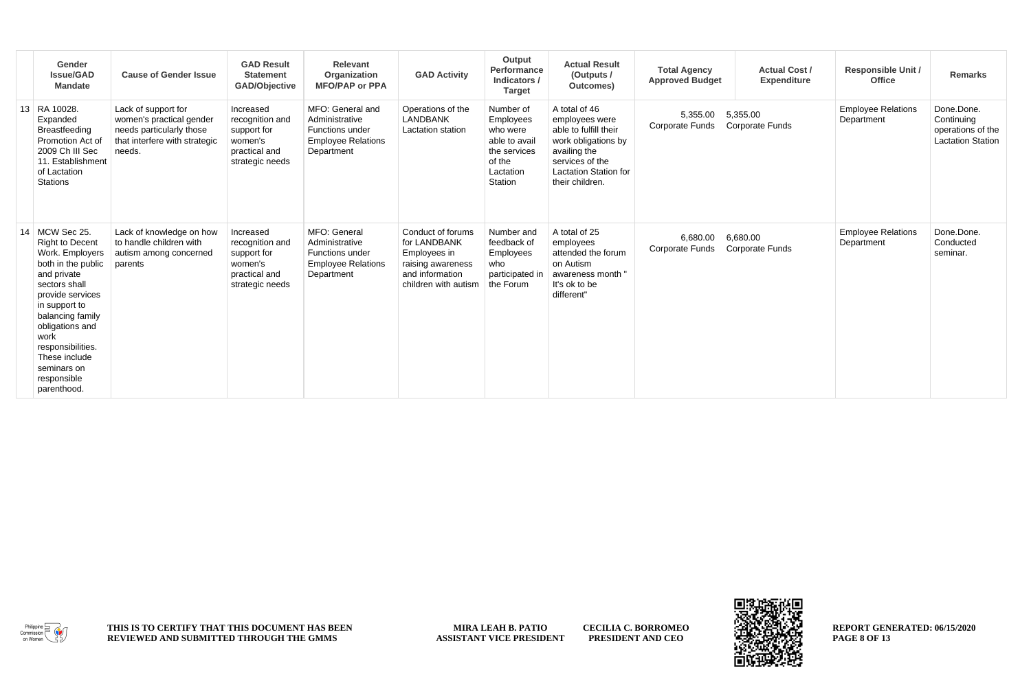| Gender<br><b>Issue/GAD</b><br><b>Mandate</b>                                                                                                                                                                                                                                               | <b>Cause of Gender Issue</b>                                                                                           | <b>GAD Result</b><br><b>Statement</b><br><b>GAD/Objective</b>                              | Relevant<br>Organization<br><b>MFO/PAP or PPA</b>                                                       | <b>GAD Activity</b>                                                                                               | Output<br>Performance<br>Indicators /<br><b>Target</b>                                                | <b>Actual Result</b><br>(Outputs /<br>Outcomes)                                                                                                                       | <b>Total Agency</b><br><b>Approved Budget</b> | <b>Actual Cost /</b><br><b>Expenditure</b> | <b>Responsible Unit /</b><br><b>Office</b> | <b>Remarks</b>                                                            |
|--------------------------------------------------------------------------------------------------------------------------------------------------------------------------------------------------------------------------------------------------------------------------------------------|------------------------------------------------------------------------------------------------------------------------|--------------------------------------------------------------------------------------------|---------------------------------------------------------------------------------------------------------|-------------------------------------------------------------------------------------------------------------------|-------------------------------------------------------------------------------------------------------|-----------------------------------------------------------------------------------------------------------------------------------------------------------------------|-----------------------------------------------|--------------------------------------------|--------------------------------------------|---------------------------------------------------------------------------|
| 13 RA 10028.<br>Expanded<br><b>Breastfeeding</b><br>Promotion Act of<br>2009 Ch III Sec<br>11. Establishment<br>of Lactation<br><b>Stations</b>                                                                                                                                            | Lack of support for<br>women's practical gender<br>needs particularly those<br>that interfere with strategic<br>needs. | Increased<br>recognition and<br>support for<br>women's<br>practical and<br>strategic needs | MFO: General and<br>Administrative<br><b>Functions under</b><br><b>Employee Relations</b><br>Department | Operations of the<br><b>LANDBANK</b><br>Lactation station                                                         | Number of<br>Employees<br>who were<br>able to avail<br>the services<br>of the<br>Lactation<br>Station | A total of 46<br>employees were<br>able to fulfill their<br>work obligations by<br>availing the<br>services of the<br><b>Lactation Station for</b><br>their children. | 5,355.00<br><b>Corporate Funds</b>            | 5,355.00<br>Corporate Funds                | <b>Employee Relations</b><br>Department    | Done.Done.<br>Continuing<br>operations of the<br><b>Lactation Station</b> |
| 14   MCW Sec 25.<br><b>Right to Decent</b><br>Work. Employers<br>both in the public<br>and private<br>sectors shall<br>provide services<br>in support to<br>balancing family<br>obligations and<br>work<br>responsibilities.<br>These include<br>seminars on<br>responsible<br>parenthood. | Lack of knowledge on how<br>to handle children with<br>autism among concerned<br>parents                               | Increased<br>recognition and<br>support for<br>women's<br>practical and<br>strategic needs | MFO: General<br>Administrative<br>Functions under<br><b>Employee Relations</b><br>Department            | Conduct of forums<br>for LANDBANK<br>Employees in<br>raising awareness<br>and information<br>children with autism | Number and<br>feedback of<br>Employees<br>who<br>participated in<br>the Forum                         | A total of 25<br>employees<br>attended the forum<br>on Autism<br>awareness month "<br>It's ok to be<br>different"                                                     | 6.680.00<br><b>Corporate Funds</b>            | 6,680.00<br><b>Corporate Funds</b>         | <b>Employee Relations</b><br>Department    | Done.Done.<br>Conducted<br>seminar.                                       |





**REPORT GENERATED: 06/15/2020 PAGE 8 OF 13**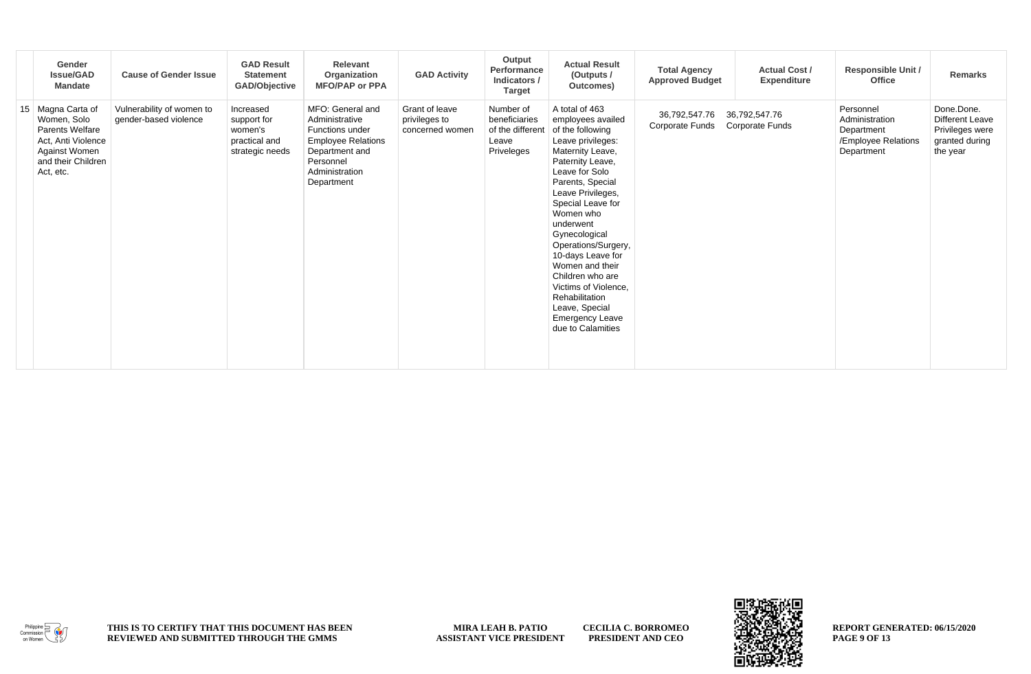| Gender<br><b>Issue/GAD</b><br><b>Mandate</b>                                                                                  | <b>Cause of Gender Issue</b>                       | <b>GAD Result</b><br><b>Statement</b><br>GAD/Objective                  | Relevant<br>Organization<br><b>MFO/PAP or PPA</b>                                                                                                 | <b>GAD Activity</b>                                | Output<br>Performance<br>Indicators /<br><b>Target</b>                | <b>Actual Result</b><br>(Outputs /<br>Outcomes)                                                                                                                                                                                                                                                                                                                                                                                               | <b>Total Agency</b><br><b>Approved Budget</b> | <b>Actual Cost /</b><br>Expenditure     | <b>Responsible Unit /</b><br><b>Office</b>                                     | Remarks                                                                               |
|-------------------------------------------------------------------------------------------------------------------------------|----------------------------------------------------|-------------------------------------------------------------------------|---------------------------------------------------------------------------------------------------------------------------------------------------|----------------------------------------------------|-----------------------------------------------------------------------|-----------------------------------------------------------------------------------------------------------------------------------------------------------------------------------------------------------------------------------------------------------------------------------------------------------------------------------------------------------------------------------------------------------------------------------------------|-----------------------------------------------|-----------------------------------------|--------------------------------------------------------------------------------|---------------------------------------------------------------------------------------|
| 15 Magna Carta of<br>Women, Solo<br>Parents Welfare<br>Act, Anti Violence<br>Against Women<br>and their Children<br>Act, etc. | Vulnerability of women to<br>gender-based violence | Increased<br>support for<br>women's<br>practical and<br>strategic needs | MFO: General and<br>Administrative<br>Functions under<br><b>Employee Relations</b><br>Department and<br>Personnel<br>Administration<br>Department | Grant of leave<br>privileges to<br>concerned women | Number of<br>beneficiaries<br>of the different<br>Leave<br>Priveleges | A total of 463<br>employees availed<br>of the following<br>Leave privileges:<br>Maternity Leave,<br>Paternity Leave,<br>Leave for Solo<br>Parents, Special<br>Leave Privileges,<br>Special Leave for<br>Women who<br>underwent<br>Gynecological<br>Operations/Surgery,<br>10-days Leave for<br>Women and their<br>Children who are<br>Victims of Violence,<br>Rehabilitation<br>Leave, Special<br><b>Emergency Leave</b><br>due to Calamities | 36,792,547.76<br><b>Corporate Funds</b>       | 36,792,547.76<br><b>Corporate Funds</b> | Personnel<br>Administration<br>Department<br>/Employee Relations<br>Department | Done.Done.<br><b>Different Leave</b><br>Privileges were<br>granted during<br>the year |



**CECILIA C. BORROMEO PRESIDENT AND CEO**

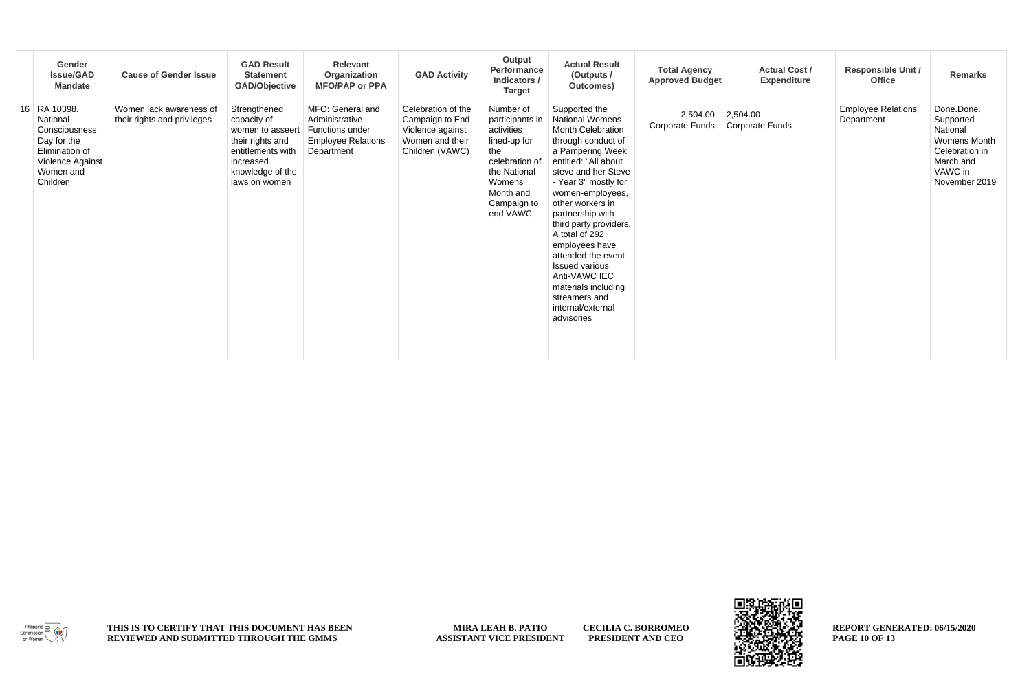| Gender<br><b>Issue/GAD</b><br><b>Mandate</b>                                                                            | <b>Cause of Gender Issue</b>                           | <b>GAD Result</b><br><b>Statement</b><br><b>GAD/Objective</b>                                                                              | Relevant<br>Organization<br><b>MFO/PAP or PPA</b>                                                       | <b>GAD Activity</b>                                                                             | Output<br>Performance<br>Indicators /<br><b>Target</b>                                                                                                | <b>Actual Result</b><br>(Outputs /<br>Outcomes)                                                                                                                                                                                                                                                                                                                                                                                             | <b>Total Agency</b><br><b>Actual Cost /</b><br><b>Approved Budget</b><br>Expenditure | <b>Responsible Unit /</b><br>Office     | <b>Remarks</b>                                                                                                        |
|-------------------------------------------------------------------------------------------------------------------------|--------------------------------------------------------|--------------------------------------------------------------------------------------------------------------------------------------------|---------------------------------------------------------------------------------------------------------|-------------------------------------------------------------------------------------------------|-------------------------------------------------------------------------------------------------------------------------------------------------------|---------------------------------------------------------------------------------------------------------------------------------------------------------------------------------------------------------------------------------------------------------------------------------------------------------------------------------------------------------------------------------------------------------------------------------------------|--------------------------------------------------------------------------------------|-----------------------------------------|-----------------------------------------------------------------------------------------------------------------------|
| 16 RA 10398.<br>National<br>Consciousness<br>Day for the<br>Elimination of<br>Violence Against<br>Women and<br>Children | Women lack awareness of<br>their rights and privileges | Strengthened<br>capacity of<br>women to asseert<br>their rights and<br>entitlements with<br>increased<br>knowledge of the<br>laws on women | MFO: General and<br>Administrative<br><b>Functions under</b><br><b>Employee Relations</b><br>Department | Celebration of the<br>Campaign to End<br>Violence against<br>Women and their<br>Children (VAWC) | Number of<br>participants in<br>activities<br>lined-up for<br>the<br>celebration of<br>the National<br>Womens<br>Month and<br>Campaign to<br>end VAWC | Supported the<br>National Womens<br>Month Celebration<br>through conduct of<br>a Pampering Week<br>entitled: "All about<br>steve and her Steve<br>- Year 3" mostly for<br>women-employees,<br>other workers in<br>partnership with<br>third party providers.<br>A total of 292<br>employees have<br>attended the event<br><b>Issued various</b><br>Anti-VAWC IEC<br>materials including<br>streamers and<br>internal/external<br>advisories | 2,504.00<br>2,504.00<br>Corporate Funds<br>Corporate Funds                           | <b>Employee Relations</b><br>Department | Done.Done.<br>Supported<br>National<br><b>Womens Month</b><br>Celebration in<br>March and<br>VAWC in<br>November 2019 |

 $\begin{picture}(120,115) \put(0,0){\vector(1,0){150}} \put(15,0){\vector(1,0){150}} \put(15,0){\vector(1,0){150}} \put(15,0){\vector(1,0){150}} \put(15,0){\vector(1,0){150}} \put(15,0){\vector(1,0){150}} \put(15,0){\vector(1,0){150}} \put(15,0){\vector(1,0){150}} \put(15,0){\vector(1,0){150}} \put(15,0){\vector(1,0){150}} \put(15,0){\vector(1,0){150$ 

**CECILIA C. BORROMEO PRESIDENT AND CEO**



**REPORT GENERATED: 06/15/2020 PAGE 10 OF 13**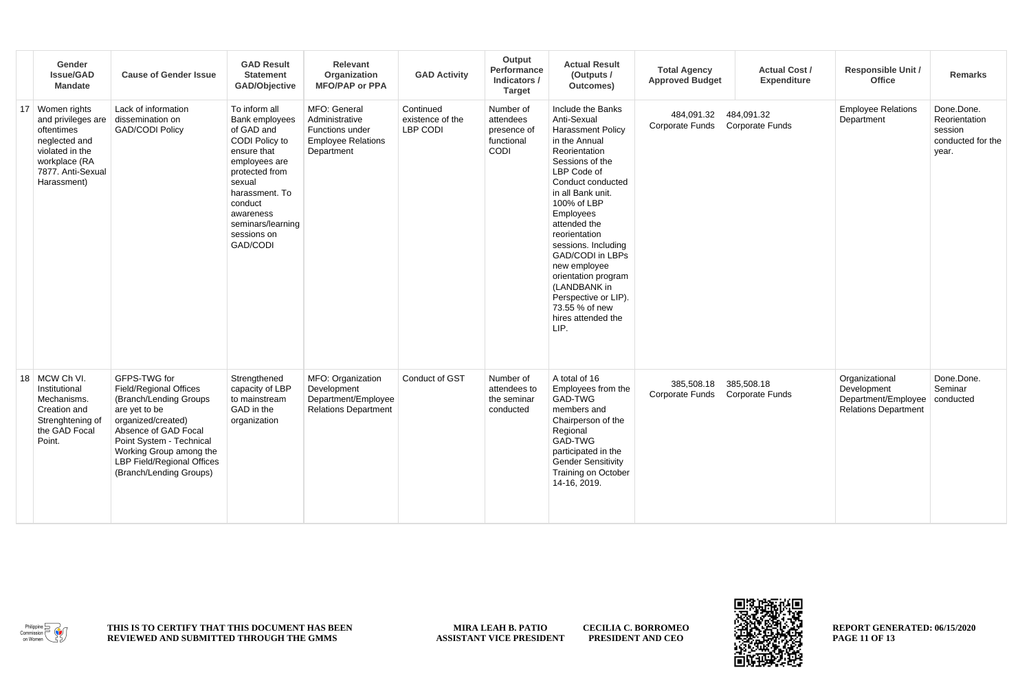| Gender<br><b>Issue/GAD</b><br><b>Mandate</b>                                                                                                 | <b>Cause of Gender Issue</b>                                                                                                                                                                                                                    | <b>GAD Result</b><br><b>Statement</b><br><b>GAD/Objective</b>                                                                                                                                                         | Relevant<br>Organization<br><b>MFO/PAP or PPA</b>                                            | <b>GAD Activity</b>                       | Output<br>Performance<br>Indicators /<br><b>Target</b>      | <b>Actual Result</b><br>(Outputs /<br>Outcomes)                                                                                                                                                                                                                                                                                                                                                                          | <b>Total Agency</b><br><b>Approved Budget</b> | <b>Actual Cost /</b><br><b>Expenditure</b> | <b>Responsible Unit /</b><br>Office                                                             | <b>Remarks</b>                                                       |
|----------------------------------------------------------------------------------------------------------------------------------------------|-------------------------------------------------------------------------------------------------------------------------------------------------------------------------------------------------------------------------------------------------|-----------------------------------------------------------------------------------------------------------------------------------------------------------------------------------------------------------------------|----------------------------------------------------------------------------------------------|-------------------------------------------|-------------------------------------------------------------|--------------------------------------------------------------------------------------------------------------------------------------------------------------------------------------------------------------------------------------------------------------------------------------------------------------------------------------------------------------------------------------------------------------------------|-----------------------------------------------|--------------------------------------------|-------------------------------------------------------------------------------------------------|----------------------------------------------------------------------|
| 17 Women rights<br>and privileges are<br>oftentimes<br>neglected and<br>violated in the<br>workplace (RA<br>7877. Anti-Sexual<br>Harassment) | Lack of information<br>dissemination on<br><b>GAD/CODI Policy</b>                                                                                                                                                                               | To inform all<br>Bank employees<br>of GAD and<br>CODI Policy to<br>ensure that<br>employees are<br>protected from<br>sexual<br>harassment. To<br>conduct<br>awareness<br>seminars/learning<br>sessions on<br>GAD/CODI | MFO: General<br>Administrative<br>Functions under<br><b>Employee Relations</b><br>Department | Continued<br>existence of the<br>LBP CODI | Number of<br>attendees<br>presence of<br>functional<br>CODI | Include the Banks<br>Anti-Sexual<br><b>Harassment Policy</b><br>in the Annual<br>Reorientation<br>Sessions of the<br>LBP Code of<br>Conduct conducted<br>in all Bank unit.<br>100% of LBP<br>Employees<br>attended the<br>reorientation<br>sessions. Including<br><b>GAD/CODI</b> in LBPs<br>new employee<br>orientation program<br>(LANDBANK in<br>Perspective or LIP).<br>73.55 % of new<br>hires attended the<br>LIP. | 484,091.32<br>Corporate Funds                 | 484,091.32<br><b>Corporate Funds</b>       | <b>Employee Relations</b><br>Department                                                         | Done.Done.<br>Reorientation<br>session<br>conducted for the<br>year. |
| 18 MCW Ch VI.<br>Institutional<br>Mechanisms.<br>Creation and<br>Strenghtening of<br>the GAD Focal<br>Point.                                 | GFPS-TWG for<br>Field/Regional Offices<br>(Branch/Lending Groups<br>are yet to be<br>organized/created)<br>Absence of GAD Focal<br>Point System - Technical<br>Working Group among the<br>LBP Field/Regional Offices<br>(Branch/Lending Groups) | Strengthened<br>capacity of LBP<br>to mainstream<br>GAD in the<br>organization                                                                                                                                        | MFO: Organization<br>Development<br>Department/Employee<br><b>Relations Department</b>       | Conduct of GST                            | Number of<br>attendees to<br>the seminar<br>conducted       | A total of 16<br>Employees from the<br>GAD-TWG<br>members and<br>Chairperson of the<br>Regional<br>GAD-TWG<br>participated in the<br><b>Gender Sensitivity</b><br>Training on October<br>14-16, 2019.                                                                                                                                                                                                                    | 385,508.18<br>Corporate Funds Corporate Funds | 385,508.18                                 | Organizational<br>Development<br>Department/Employee   conducted<br><b>Relations Department</b> | Done.Done.<br>Seminar                                                |



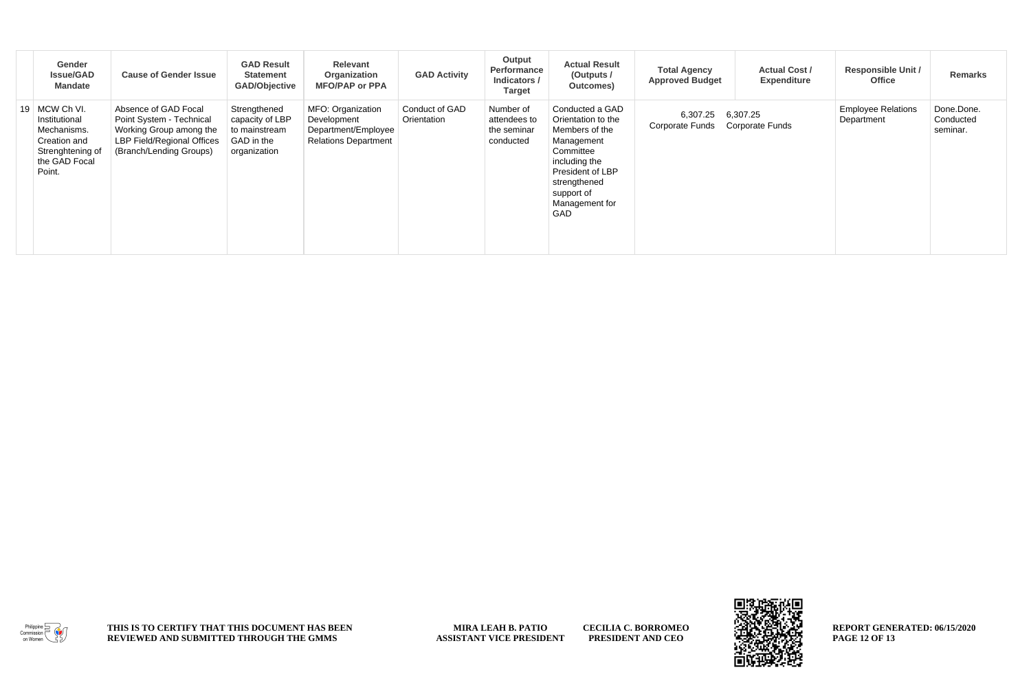|    | Gender<br><b>Issue/GAD</b><br>Mandate                                                                     | <b>Cause of Gender Issue</b>                                                                                                         | <b>GAD Result</b><br><b>Statement</b><br><b>GAD/Objective</b>                  | Relevant<br>Organization<br><b>MFO/PAP or PPA</b>                                      | <b>GAD Activity</b>           | Output<br>Performance<br>Indicators /<br><b>Target</b> | <b>Actual Result</b><br>(Outputs /<br>Outcomes)                                                                                                                                | <b>Total Agency</b><br><b>Approved Budget</b> | <b>Actual Cost /</b><br><b>Expenditure</b> | <b>Responsible Unit /</b><br><b>Office</b> | <b>Remarks</b>                      |
|----|-----------------------------------------------------------------------------------------------------------|--------------------------------------------------------------------------------------------------------------------------------------|--------------------------------------------------------------------------------|----------------------------------------------------------------------------------------|-------------------------------|--------------------------------------------------------|--------------------------------------------------------------------------------------------------------------------------------------------------------------------------------|-----------------------------------------------|--------------------------------------------|--------------------------------------------|-------------------------------------|
| 19 | MCW Ch VI.<br>Institutional<br>Mechanisms.<br>Creation and<br>Strenghtening of<br>the GAD Focal<br>Point. | Absence of GAD Focal<br>Point System - Technical<br>Working Group among the<br>LBP Field/Regional Offices<br>(Branch/Lending Groups) | Strengthened<br>capacity of LBP<br>to mainstream<br>GAD in the<br>organization | MFO: Organization<br>Development<br>Department/Employee<br><b>Relations Department</b> | Conduct of GAD<br>Orientation | Number of<br>attendees to<br>the seminar<br>conducted  | Conducted a GAD<br>Orientation to the<br>Members of the<br>Management<br>Committee<br>including the<br>President of LBP<br>strengthened<br>support of<br>Management for<br>GAD | 6,307.25<br><b>Corporate Funds</b>            | 6,307.25<br><b>Corporate Funds</b>         | <b>Employee Relations</b><br>Department    | Done.Done.<br>Conducted<br>seminar. |







**REPORT GENERATED: 06/15/2020 PAGE 12 OF 13**